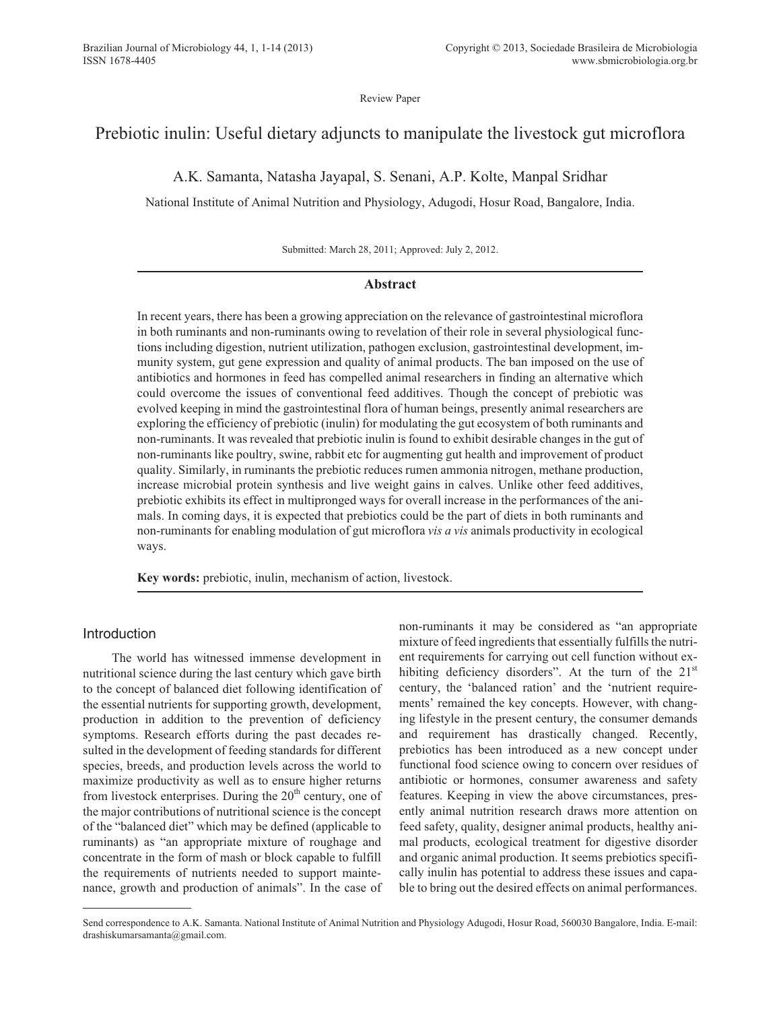Review Paper

# Prebiotic inulin: Useful dietary adjuncts to manipulate the livestock gut microflora

A.K. Samanta, Natasha Jayapal, S. Senani, A.P. Kolte, Manpal Sridhar

National Institute of Animal Nutrition and Physiology, Adugodi, Hosur Road, Bangalore, India.

Submitted: March 28, 2011; Approved: July 2, 2012.

## **Abstract**

In recent years, there has been a growing appreciation on the relevance of gastrointestinal microflora in both ruminants and non-ruminants owing to revelation of their role in several physiological functions including digestion, nutrient utilization, pathogen exclusion, gastrointestinal development, immunity system, gut gene expression and quality of animal products. The ban imposed on the use of antibiotics and hormones in feed has compelled animal researchers in finding an alternative which could overcome the issues of conventional feed additives. Though the concept of prebiotic was evolved keeping in mind the gastrointestinal flora of human beings, presently animal researchers are exploring the efficiency of prebiotic (inulin) for modulating the gut ecosystem of both ruminants and non-ruminants. It was revealed that prebiotic inulin is found to exhibit desirable changes in the gut of non-ruminants like poultry, swine, rabbit etc for augmenting gut health and improvement of product quality. Similarly, in ruminants the prebiotic reduces rumen ammonia nitrogen, methane production, increase microbial protein synthesis and live weight gains in calves. Unlike other feed additives, prebiotic exhibits its effect in multipronged ways for overall increase in the performances of the animals. In coming days, it is expected that prebiotics could be the part of diets in both ruminants and non-ruminants for enabling modulation of gut microflora *vis a vis* animals productivity in ecological ways.

**Key words:** prebiotic, inulin, mechanism of action, livestock.

# Introduction

The world has witnessed immense development in nutritional science during the last century which gave birth to the concept of balanced diet following identification of the essential nutrients for supporting growth, development, production in addition to the prevention of deficiency symptoms. Research efforts during the past decades resulted in the development of feeding standards for different species, breeds, and production levels across the world to maximize productivity as well as to ensure higher returns from livestock enterprises. During the  $20<sup>th</sup>$  century, one of the major contributions of nutritional science is the concept of the "balanced diet" which may be defined (applicable to ruminants) as "an appropriate mixture of roughage and concentrate in the form of mash or block capable to fulfill the requirements of nutrients needed to support maintenance, growth and production of animals". In the case of non-ruminants it may be considered as "an appropriate mixture of feed ingredients that essentially fulfills the nutrient requirements for carrying out cell function without exhibiting deficiency disorders". At the turn of the  $21<sup>st</sup>$ century, the 'balanced ration' and the 'nutrient requirements' remained the key concepts. However, with changing lifestyle in the present century, the consumer demands and requirement has drastically changed. Recently, prebiotics has been introduced as a new concept under functional food science owing to concern over residues of antibiotic or hormones, consumer awareness and safety features. Keeping in view the above circumstances, presently animal nutrition research draws more attention on feed safety, quality, designer animal products, healthy animal products, ecological treatment for digestive disorder and organic animal production. It seems prebiotics specifically inulin has potential to address these issues and capable to bring out the desired effects on animal performances.

Send correspondence to A.K. Samanta. National Institute of Animal Nutrition and Physiology Adugodi, Hosur Road, 560030 Bangalore, India. E-mail: drashiskumarsamanta@gmail.com.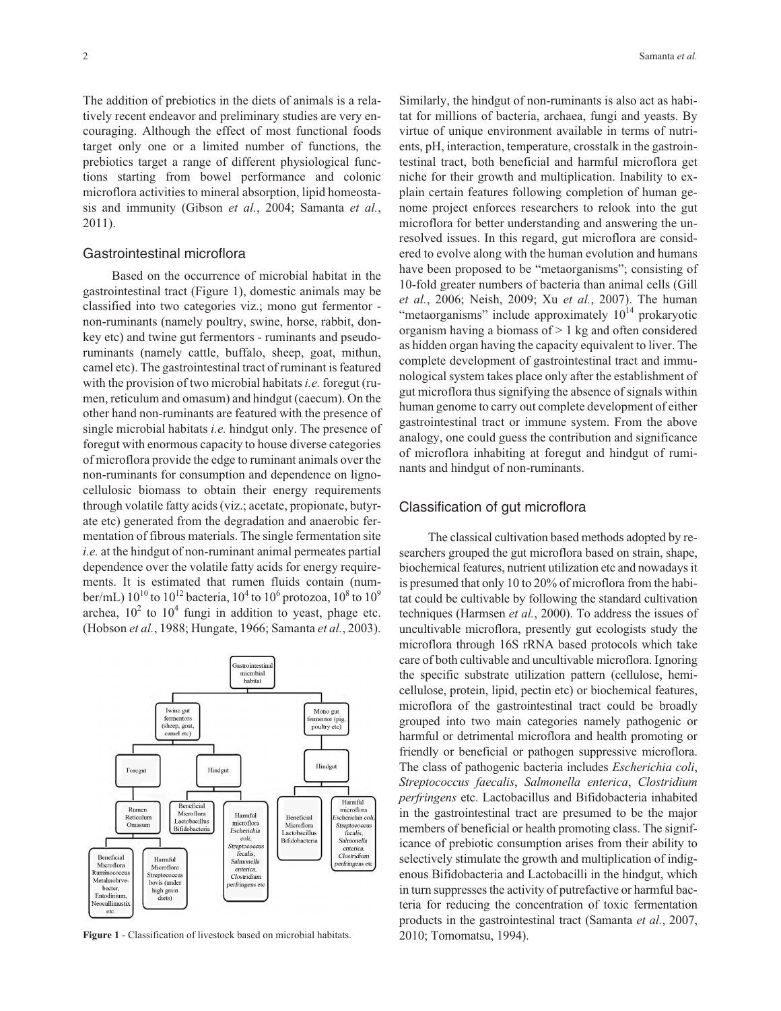The addition of prebiotics in the diets of animals is a relatively recent endeavor and preliminary studies are very encouraging. Although the effect of most functional foods target only one or a limited number of functions, the prebiotics target a range of different physiological functions starting from bowel performance and colonic microflora activities to mineral absorption, lipid homeostasis and immunity (Gibson *et al.*, 2004; Samanta *et al.*, 2011).

# Gastrointestinal microflora

Based on the occurrence of microbial habitat in the gastrointestinal tract (Figure 1), domestic animals may be classified into two categories viz.; mono gut fermentor non-ruminants (namely poultry, swine, horse, rabbit, donkey etc) and twine gut fermentors - ruminants and pseudoruminants (namely cattle, buffalo, sheep, goat, mithun, camel etc). The gastrointestinal tract of ruminant is featured with the provision of two microbial habitats*i.e.* foregut (rumen, reticulum and omasum) and hindgut (caecum). On the other hand non-ruminants are featured with the presence of single microbial habitats *i.e.* hindgut only. The presence of foregut with enormous capacity to house diverse categories of microflora provide the edge to ruminant animals over the non-ruminants for consumption and dependence on lignocellulosic biomass to obtain their energy requirements through volatile fatty acids (viz.; acetate, propionate, butyrate etc) generated from the degradation and anaerobic fermentation of fibrous materials. The single fermentation site *i.e.* at the hindgut of non-ruminant animal permeates partial dependence over the volatile fatty acids for energy requirements. It is estimated that rumen fluids contain (number/mL)  $10^{10}$  to  $10^{12}$  bacteria,  $10^4$  to  $10^6$  protozoa,  $10^8$  to  $10^9$ archea,  $10^2$  to  $10^4$  fungi in addition to yeast, phage etc. (Hobson *et al.*, 1988; Hungate, 1966; Samanta *et al.*, 2003).



**Figure 1** - Classification of livestock based on microbial habitats.

Similarly, the hindgut of non-ruminants is also act as habitat for millions of bacteria, archaea, fungi and yeasts. By virtue of unique environment available in terms of nutrients, pH, interaction, temperature, crosstalk in the gastrointestinal tract, both beneficial and harmful microflora get niche for their growth and multiplication. Inability to explain certain features following completion of human genome project enforces researchers to relook into the gut microflora for better understanding and answering the unresolved issues. In this regard, gut microflora are considered to evolve along with the human evolution and humans have been proposed to be "metaorganisms"; consisting of 10-fold greater numbers of bacteria than animal cells (Gill *et al.*, 2006; Neish, 2009; Xu *et al.*, 2007). The human "metaorganisms" include approximately  $10^{14}$  prokaryotic organism having a biomass of  $> 1$  kg and often considered as hidden organ having the capacity equivalent to liver. The complete development of gastrointestinal tract and immunological system takes place only after the establishment of gut microflora thus signifying the absence of signals within human genome to carry out complete development of either gastrointestinal tract or immune system. From the above analogy, one could guess the contribution and significance of microflora inhabiting at foregut and hindgut of ruminants and hindgut of non-ruminants.

## Classification of gut microflora

The classical cultivation based methods adopted by researchers grouped the gut microflora based on strain, shape, biochemical features, nutrient utilization etc and nowadays it is presumed that only 10 to 20% of microflora from the habitat could be cultivable by following the standard cultivation techniques (Harmsen *et al.*, 2000). To address the issues of uncultivable microflora, presently gut ecologists study the microflora through 16S rRNA based protocols which take care of both cultivable and uncultivable microflora. Ignoring the specific substrate utilization pattern (cellulose, hemicellulose, protein, lipid, pectin etc) or biochemical features, microflora of the gastrointestinal tract could be broadly grouped into two main categories namely pathogenic or harmful or detrimental microflora and health promoting or friendly or beneficial or pathogen suppressive microflora. The class of pathogenic bacteria includes *Escherichia coli*, *Streptococcus faecalis*, *Salmonella enterica*, *Clostridium perfringens* etc. Lactobacillus and Bifidobacteria inhabited in the gastrointestinal tract are presumed to be the major members of beneficial or health promoting class. The significance of prebiotic consumption arises from their ability to selectively stimulate the growth and multiplication of indigenous Bifidobacteria and Lactobacilli in the hindgut, which in turn suppresses the activity of putrefactive or harmful bacteria for reducing the concentration of toxic fermentation products in the gastrointestinal tract (Samanta *et al.*, 2007, 2010; Tomomatsu, 1994).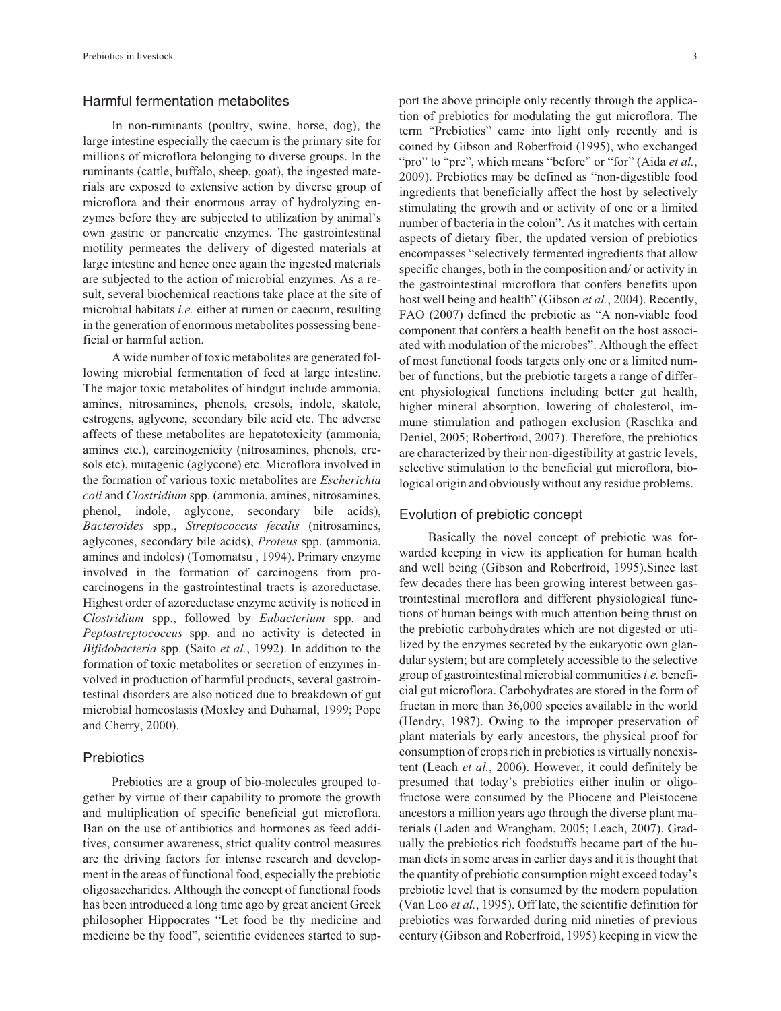## Harmful fermentation metabolites

In non-ruminants (poultry, swine, horse, dog), the large intestine especially the caecum is the primary site for millions of microflora belonging to diverse groups. In the ruminants (cattle, buffalo, sheep, goat), the ingested materials are exposed to extensive action by diverse group of microflora and their enormous array of hydrolyzing enzymes before they are subjected to utilization by animal's own gastric or pancreatic enzymes. The gastrointestinal motility permeates the delivery of digested materials at large intestine and hence once again the ingested materials are subjected to the action of microbial enzymes. As a result, several biochemical reactions take place at the site of microbial habitats *i.e.* either at rumen or caecum, resulting in the generation of enormous metabolites possessing beneficial or harmful action.

A wide number of toxic metabolites are generated following microbial fermentation of feed at large intestine. The major toxic metabolites of hindgut include ammonia, amines, nitrosamines, phenols, cresols, indole, skatole, estrogens, aglycone, secondary bile acid etc. The adverse affects of these metabolites are hepatotoxicity (ammonia, amines etc.), carcinogenicity (nitrosamines, phenols, cresols etc), mutagenic (aglycone) etc. Microflora involved in the formation of various toxic metabolites are *Escherichia coli* and *Clostridium* spp. (ammonia, amines, nitrosamines, phenol, indole, aglycone, secondary bile acids), *Bacteroides* spp., *Streptococcus fecalis* (nitrosamines, aglycones, secondary bile acids), *Proteus* spp. (ammonia, amines and indoles) (Tomomatsu , 1994). Primary enzyme involved in the formation of carcinogens from procarcinogens in the gastrointestinal tracts is azoreductase. Highest order of azoreductase enzyme activity is noticed in *Clostridium* spp., followed by *Eubacterium* spp. and *Peptostreptococcus* spp. and no activity is detected in *Bifidobacteria* spp. (Saito *et al.*, 1992). In addition to the formation of toxic metabolites or secretion of enzymes involved in production of harmful products, several gastrointestinal disorders are also noticed due to breakdown of gut microbial homeostasis (Moxley and Duhamal, 1999; Pope and Cherry, 2000).

# **Prebiotics**

Prebiotics are a group of bio-molecules grouped together by virtue of their capability to promote the growth and multiplication of specific beneficial gut microflora. Ban on the use of antibiotics and hormones as feed additives, consumer awareness, strict quality control measures are the driving factors for intense research and development in the areas of functional food, especially the prebiotic oligosaccharides. Although the concept of functional foods has been introduced a long time ago by great ancient Greek philosopher Hippocrates "Let food be thy medicine and medicine be thy food", scientific evidences started to support the above principle only recently through the application of prebiotics for modulating the gut microflora. The term "Prebiotics" came into light only recently and is coined by Gibson and Roberfroid (1995), who exchanged "pro" to "pre", which means "before" or "for" (Aida *et al.*, 2009). Prebiotics may be defined as "non-digestible food ingredients that beneficially affect the host by selectively stimulating the growth and or activity of one or a limited number of bacteria in the colon". As it matches with certain aspects of dietary fiber, the updated version of prebiotics encompasses "selectively fermented ingredients that allow specific changes, both in the composition and/ or activity in the gastrointestinal microflora that confers benefits upon host well being and health" (Gibson *et al.*, 2004). Recently, FAO (2007) defined the prebiotic as "A non-viable food component that confers a health benefit on the host associated with modulation of the microbes". Although the effect of most functional foods targets only one or a limited number of functions, but the prebiotic targets a range of different physiological functions including better gut health, higher mineral absorption, lowering of cholesterol, immune stimulation and pathogen exclusion (Raschka and Deniel, 2005; Roberfroid, 2007). Therefore, the prebiotics are characterized by their non-digestibility at gastric levels, selective stimulation to the beneficial gut microflora, biological origin and obviously without any residue problems.

#### Evolution of prebiotic concept

Basically the novel concept of prebiotic was forwarded keeping in view its application for human health and well being (Gibson and Roberfroid, 1995).Since last few decades there has been growing interest between gastrointestinal microflora and different physiological functions of human beings with much attention being thrust on the prebiotic carbohydrates which are not digested or utilized by the enzymes secreted by the eukaryotic own glandular system; but are completely accessible to the selective group of gastrointestinal microbial communities*i.e.* beneficial gut microflora. Carbohydrates are stored in the form of fructan in more than 36,000 species available in the world (Hendry, 1987). Owing to the improper preservation of plant materials by early ancestors, the physical proof for consumption of crops rich in prebiotics is virtually nonexistent (Leach *et al.*, 2006). However, it could definitely be presumed that today's prebiotics either inulin or oligofructose were consumed by the Pliocene and Pleistocene ancestors a million years ago through the diverse plant materials (Laden and Wrangham, 2005; Leach, 2007). Gradually the prebiotics rich foodstuffs became part of the human diets in some areas in earlier days and it is thought that the quantity of prebiotic consumption might exceed today's prebiotic level that is consumed by the modern population (Van Loo *et al.*, 1995). Off late, the scientific definition for prebiotics was forwarded during mid nineties of previous century (Gibson and Roberfroid, 1995) keeping in view the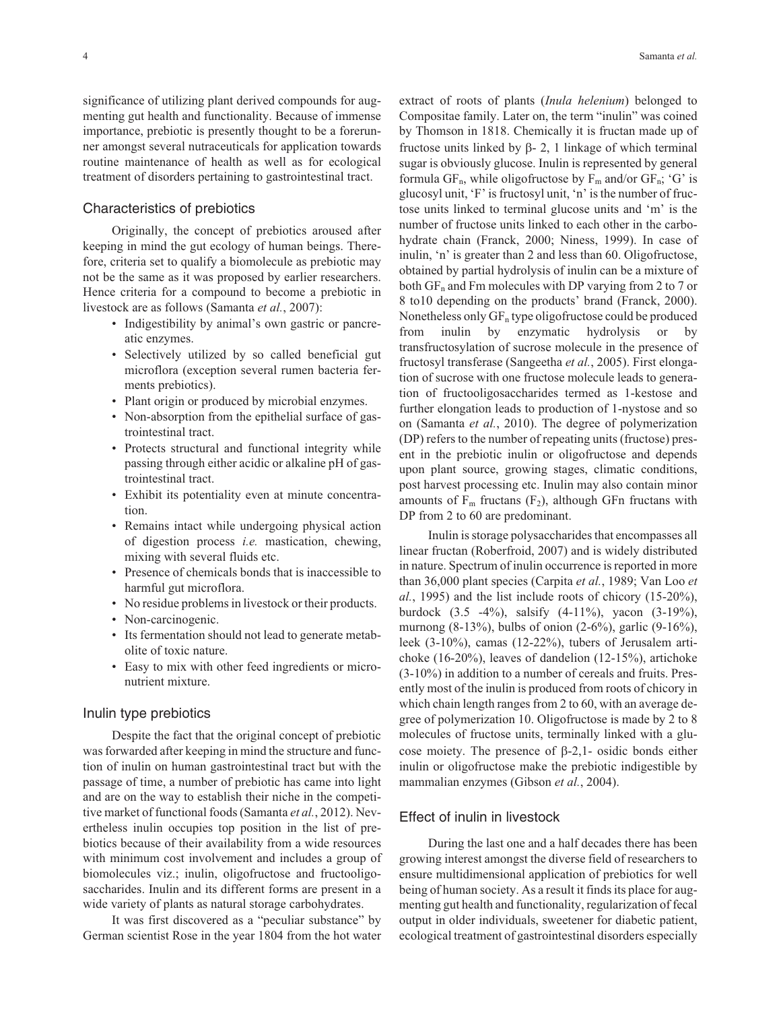significance of utilizing plant derived compounds for augmenting gut health and functionality. Because of immense importance, prebiotic is presently thought to be a forerunner amongst several nutraceuticals for application towards routine maintenance of health as well as for ecological treatment of disorders pertaining to gastrointestinal tract.

## Characteristics of prebiotics

Originally, the concept of prebiotics aroused after keeping in mind the gut ecology of human beings. Therefore, criteria set to qualify a biomolecule as prebiotic may not be the same as it was proposed by earlier researchers. Hence criteria for a compound to become a prebiotic in livestock are as follows (Samanta *et al.*, 2007):

- Indigestibility by animal's own gastric or pancreatic enzymes.
- Selectively utilized by so called beneficial gut microflora (exception several rumen bacteria ferments prebiotics).
- Plant origin or produced by microbial enzymes.
- Non-absorption from the epithelial surface of gastrointestinal tract.
- Protects structural and functional integrity while passing through either acidic or alkaline pH of gastrointestinal tract.
- Exhibit its potentiality even at minute concentration.
- Remains intact while undergoing physical action of digestion process *i.e.* mastication, chewing, mixing with several fluids etc.
- Presence of chemicals bonds that is inaccessible to harmful gut microflora.
- No residue problems in livestock or their products.
- Non-carcinogenic.
- Its fermentation should not lead to generate metabolite of toxic nature.
- Easy to mix with other feed ingredients or micronutrient mixture.

#### Inulin type prebiotics

Despite the fact that the original concept of prebiotic was forwarded after keeping in mind the structure and function of inulin on human gastrointestinal tract but with the passage of time, a number of prebiotic has came into light and are on the way to establish their niche in the competitive market of functional foods (Samanta *et al.*, 2012). Nevertheless inulin occupies top position in the list of prebiotics because of their availability from a wide resources with minimum cost involvement and includes a group of biomolecules viz.; inulin, oligofructose and fructooligosaccharides. Inulin and its different forms are present in a wide variety of plants as natural storage carbohydrates.

It was first discovered as a "peculiar substance" by German scientist Rose in the year 1804 from the hot water extract of roots of plants (*Inula helenium*) belonged to Compositae family. Later on, the term "inulin" was coined by Thomson in 1818. Chemically it is fructan made up of fructose units linked by  $\beta$ - 2, 1 linkage of which terminal sugar is obviously glucose. Inulin is represented by general formula  $GF_n$ , while oligofructose by  $F_m$  and/or  $GF_n$ ; 'G' is glucosyl unit, 'F' is fructosyl unit, 'n' is the number of fructose units linked to terminal glucose units and 'm' is the number of fructose units linked to each other in the carbohydrate chain (Franck, 2000; Niness, 1999). In case of inulin, 'n' is greater than 2 and less than 60. Oligofructose, obtained by partial hydrolysis of inulin can be a mixture of both  $GF_n$  and Fm molecules with DP varying from 2 to 7 or 8 to10 depending on the products' brand (Franck, 2000). Nonetheless only  $GF_n$  type oligofructose could be produced from inulin by enzymatic hydrolysis or by transfructosylation of sucrose molecule in the presence of fructosyl transferase (Sangeetha *et al.*, 2005). First elongation of sucrose with one fructose molecule leads to generation of fructooligosaccharides termed as 1-kestose and further elongation leads to production of 1-nystose and so on (Samanta *et al.*, 2010). The degree of polymerization (DP) refers to the number of repeating units (fructose) present in the prebiotic inulin or oligofructose and depends upon plant source, growing stages, climatic conditions, post harvest processing etc. Inulin may also contain minor amounts of  $F_m$  fructans ( $F_2$ ), although GFn fructans with DP from 2 to 60 are predominant.

Inulin is storage polysaccharides that encompasses all linear fructan (Roberfroid, 2007) and is widely distributed in nature. Spectrum of inulin occurrence is reported in more than 36,000 plant species (Carpita *et al.*, 1989; Van Loo *et al.*, 1995) and the list include roots of chicory (15-20%), burdock (3.5 -4%), salsify (4-11%), yacon (3-19%), murnong (8-13%), bulbs of onion (2-6%), garlic (9-16%), leek (3-10%), camas (12-22%), tubers of Jerusalem artichoke (16-20%), leaves of dandelion (12-15%), artichoke (3-10%) in addition to a number of cereals and fruits. Presently most of the inulin is produced from roots of chicory in which chain length ranges from 2 to 60, with an average degree of polymerization 10. Oligofructose is made by 2 to 8 molecules of fructose units, terminally linked with a glucose moiety. The presence of  $\beta$ -2,1- osidic bonds either inulin or oligofructose make the prebiotic indigestible by mammalian enzymes (Gibson *et al.*, 2004).

# Effect of inulin in livestock

During the last one and a half decades there has been growing interest amongst the diverse field of researchers to ensure multidimensional application of prebiotics for well being of human society. As a result it finds its place for augmenting gut health and functionality, regularization of fecal output in older individuals, sweetener for diabetic patient, ecological treatment of gastrointestinal disorders especially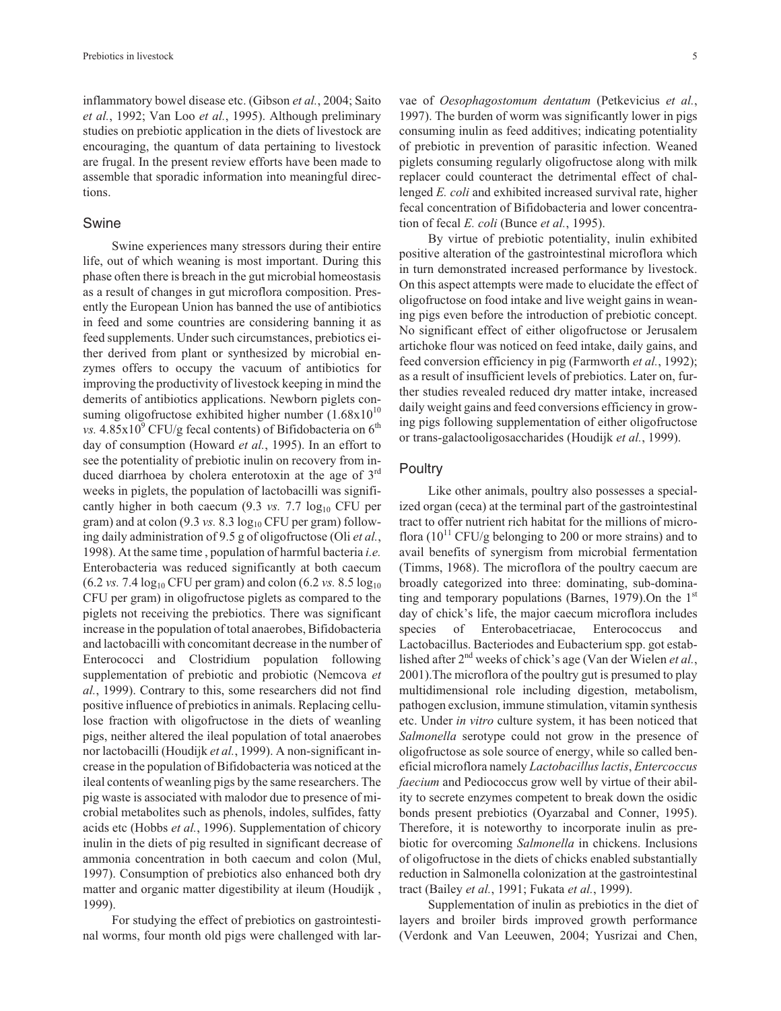inflammatory bowel disease etc. (Gibson *et al.*, 2004; Saito *et al.*, 1992; Van Loo *et al.*, 1995). Although preliminary studies on prebiotic application in the diets of livestock are encouraging, the quantum of data pertaining to livestock are frugal. In the present review efforts have been made to assemble that sporadic information into meaningful directions.

## Swine

Swine experiences many stressors during their entire life, out of which weaning is most important. During this phase often there is breach in the gut microbial homeostasis as a result of changes in gut microflora composition. Presently the European Union has banned the use of antibiotics in feed and some countries are considering banning it as feed supplements. Under such circumstances, prebiotics either derived from plant or synthesized by microbial enzymes offers to occupy the vacuum of antibiotics for improving the productivity of livestock keeping in mind the demerits of antibiotics applications. Newborn piglets consuming oligofructose exhibited higher number  $(1.68 \times 10^{10}$ *vs.*  $4.85x10^9$  CFU/g fecal contents) of Bifidobacteria on  $6^{\text{th}}$ day of consumption (Howard *et al.*, 1995). In an effort to see the potentiality of prebiotic inulin on recovery from induced diarrhoea by cholera enterotoxin at the age of 3<sup>rd</sup> weeks in piglets, the population of lactobacilli was significantly higher in both caecum  $(9.3 \text{ vs. } 7.7 \text{ log}_{10} \text{ CFU per})$ gram) and at colon  $(9.3 \text{ vs. } 8.3 \log_{10} \text{CFU per gram})$  following daily administration of 9.5 g of oligofructose (Oli *et al.*, 1998). At the same time , population of harmful bacteria *i.e.* Enterobacteria was reduced significantly at both caecum  $(6.2 \text{ vs. } 7.4 \log_{10} \text{CFU per gram})$  and colon  $(6.2 \text{ vs. } 8.5 \log_{10} \text{C})$ CFU per gram) in oligofructose piglets as compared to the piglets not receiving the prebiotics. There was significant increase in the population of total anaerobes, Bifidobacteria and lactobacilli with concomitant decrease in the number of Enterococci and Clostridium population following supplementation of prebiotic and probiotic (Nemcova *et al.*, 1999). Contrary to this, some researchers did not find positive influence of prebiotics in animals. Replacing cellulose fraction with oligofructose in the diets of weanling pigs, neither altered the ileal population of total anaerobes nor lactobacilli (Houdijk *et al.*, 1999). A non-significant increase in the population of Bifidobacteria was noticed at the ileal contents of weanling pigs by the same researchers. The pig waste is associated with malodor due to presence of microbial metabolites such as phenols, indoles, sulfides, fatty acids etc (Hobbs *et al.*, 1996). Supplementation of chicory inulin in the diets of pig resulted in significant decrease of ammonia concentration in both caecum and colon (Mul, 1997). Consumption of prebiotics also enhanced both dry matter and organic matter digestibility at ileum (Houdijk , 1999).

For studying the effect of prebiotics on gastrointestinal worms, four month old pigs were challenged with larvae of *Oesophagostomum dentatum* (Petkevicius *et al.*, 1997). The burden of worm was significantly lower in pigs consuming inulin as feed additives; indicating potentiality of prebiotic in prevention of parasitic infection. Weaned piglets consuming regularly oligofructose along with milk replacer could counteract the detrimental effect of challenged *E. coli* and exhibited increased survival rate, higher fecal concentration of Bifidobacteria and lower concentration of fecal *E. coli* (Bunce *et al.*, 1995).

By virtue of prebiotic potentiality, inulin exhibited positive alteration of the gastrointestinal microflora which in turn demonstrated increased performance by livestock. On this aspect attempts were made to elucidate the effect of oligofructose on food intake and live weight gains in weaning pigs even before the introduction of prebiotic concept. No significant effect of either oligofructose or Jerusalem artichoke flour was noticed on feed intake, daily gains, and feed conversion efficiency in pig (Farmworth *et al.*, 1992); as a result of insufficient levels of prebiotics. Later on, further studies revealed reduced dry matter intake, increased daily weight gains and feed conversions efficiency in growing pigs following supplementation of either oligofructose or trans-galactooligosaccharides (Houdijk *et al.*, 1999).

## **Poultry**

Like other animals, poultry also possesses a specialized organ (ceca) at the terminal part of the gastrointestinal tract to offer nutrient rich habitat for the millions of microflora  $(10^{11}$  CFU/g belonging to 200 or more strains) and to avail benefits of synergism from microbial fermentation (Timms, 1968). The microflora of the poultry caecum are broadly categorized into three: dominating, sub-dominating and temporary populations (Barnes, 1979). On the  $1<sup>st</sup>$ day of chick's life, the major caecum microflora includes species of Enterobacetriacae, Enterococcus and Lactobacillus. Bacteriodes and Eubacterium spp. got established after 2nd weeks of chick's age (Van der Wielen *et al.*, 2001).The microflora of the poultry gut is presumed to play multidimensional role including digestion, metabolism, pathogen exclusion, immune stimulation, vitamin synthesis etc. Under *in vitro* culture system, it has been noticed that *Salmonella* serotype could not grow in the presence of oligofructose as sole source of energy, while so called beneficial microflora namely *Lactobacillus lactis*, *Entercoccus faecium* and Pediococcus grow well by virtue of their ability to secrete enzymes competent to break down the osidic bonds present prebiotics (Oyarzabal and Conner, 1995). Therefore, it is noteworthy to incorporate inulin as prebiotic for overcoming *Salmonella* in chickens. Inclusions of oligofructose in the diets of chicks enabled substantially reduction in Salmonella colonization at the gastrointestinal tract (Bailey *et al.*, 1991; Fukata *et al.*, 1999).

Supplementation of inulin as prebiotics in the diet of layers and broiler birds improved growth performance (Verdonk and Van Leeuwen, 2004; Yusrizai and Chen,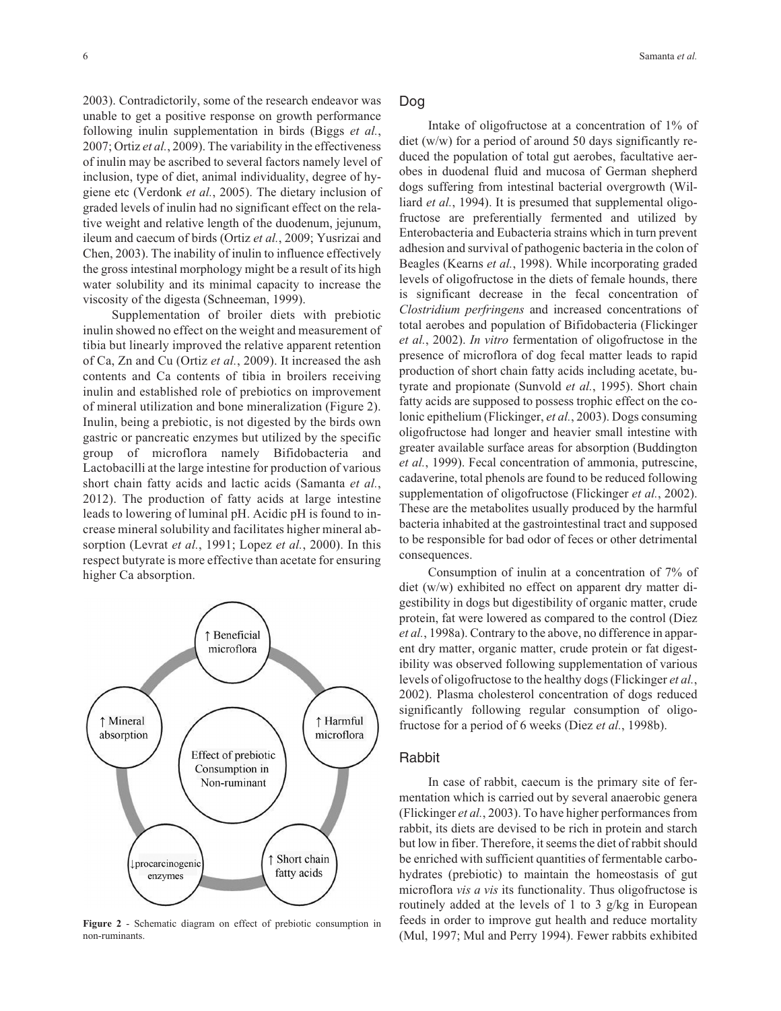2003). Contradictorily, some of the research endeavor was unable to get a positive response on growth performance following inulin supplementation in birds (Biggs *et al.*, 2007; Ortiz *et al.*, 2009). The variability in the effectiveness of inulin may be ascribed to several factors namely level of inclusion, type of diet, animal individuality, degree of hygiene etc (Verdonk *et al.*, 2005). The dietary inclusion of graded levels of inulin had no significant effect on the relative weight and relative length of the duodenum, jejunum, ileum and caecum of birds (Ortiz *et al.*, 2009; Yusrizai and Chen, 2003). The inability of inulin to influence effectively the gross intestinal morphology might be a result of its high water solubility and its minimal capacity to increase the viscosity of the digesta (Schneeman, 1999).

Supplementation of broiler diets with prebiotic inulin showed no effect on the weight and measurement of tibia but linearly improved the relative apparent retention of Ca, Zn and Cu (Ortiz *et al.*, 2009). It increased the ash contents and Ca contents of tibia in broilers receiving inulin and established role of prebiotics on improvement of mineral utilization and bone mineralization (Figure 2). Inulin, being a prebiotic, is not digested by the birds own gastric or pancreatic enzymes but utilized by the specific group of microflora namely Bifidobacteria and Lactobacilli at the large intestine for production of various short chain fatty acids and lactic acids (Samanta *et al.*, 2012). The production of fatty acids at large intestine leads to lowering of luminal pH. Acidic pH is found to increase mineral solubility and facilitates higher mineral absorption (Levrat *et al.*, 1991; Lopez *et al.*, 2000). In this respect butyrate is more effective than acetate for ensuring higher Ca absorption.



**Figure 2** - Schematic diagram on effect of prebiotic consumption in non-ruminants.

Dog

Intake of oligofructose at a concentration of 1% of diet (w/w) for a period of around 50 days significantly reduced the population of total gut aerobes, facultative aerobes in duodenal fluid and mucosa of German shepherd dogs suffering from intestinal bacterial overgrowth (Williard *et al.*, 1994). It is presumed that supplemental oligofructose are preferentially fermented and utilized by Enterobacteria and Eubacteria strains which in turn prevent adhesion and survival of pathogenic bacteria in the colon of Beagles (Kearns *et al.*, 1998). While incorporating graded levels of oligofructose in the diets of female hounds, there is significant decrease in the fecal concentration of *Clostridium perfringens* and increased concentrations of total aerobes and population of Bifidobacteria (Flickinger *et al.*, 2002). *In vitro* fermentation of oligofructose in the presence of microflora of dog fecal matter leads to rapid production of short chain fatty acids including acetate, butyrate and propionate (Sunvold *et al.*, 1995). Short chain fatty acids are supposed to possess trophic effect on the colonic epithelium (Flickinger, *et al.*, 2003). Dogs consuming oligofructose had longer and heavier small intestine with greater available surface areas for absorption (Buddington *et al.*, 1999). Fecal concentration of ammonia, putrescine, cadaverine, total phenols are found to be reduced following supplementation of oligofructose (Flickinger *et al.*, 2002). These are the metabolites usually produced by the harmful bacteria inhabited at the gastrointestinal tract and supposed to be responsible for bad odor of feces or other detrimental consequences.

Consumption of inulin at a concentration of 7% of diet (w/w) exhibited no effect on apparent dry matter digestibility in dogs but digestibility of organic matter, crude protein, fat were lowered as compared to the control (Diez *et al.*, 1998a). Contrary to the above, no difference in apparent dry matter, organic matter, crude protein or fat digestibility was observed following supplementation of various levels of oligofructose to the healthy dogs (Flickinger *et al.*, 2002). Plasma cholesterol concentration of dogs reduced significantly following regular consumption of oligofructose for a period of 6 weeks (Diez *et al.*, 1998b).

## Rabbit

In case of rabbit, caecum is the primary site of fermentation which is carried out by several anaerobic genera (Flickinger *et al.*, 2003). To have higher performances from rabbit, its diets are devised to be rich in protein and starch but low in fiber. Therefore, it seems the diet of rabbit should be enriched with sufficient quantities of fermentable carbohydrates (prebiotic) to maintain the homeostasis of gut microflora *vis a vis* its functionality. Thus oligofructose is routinely added at the levels of 1 to 3 g/kg in European feeds in order to improve gut health and reduce mortality (Mul, 1997; Mul and Perry 1994). Fewer rabbits exhibited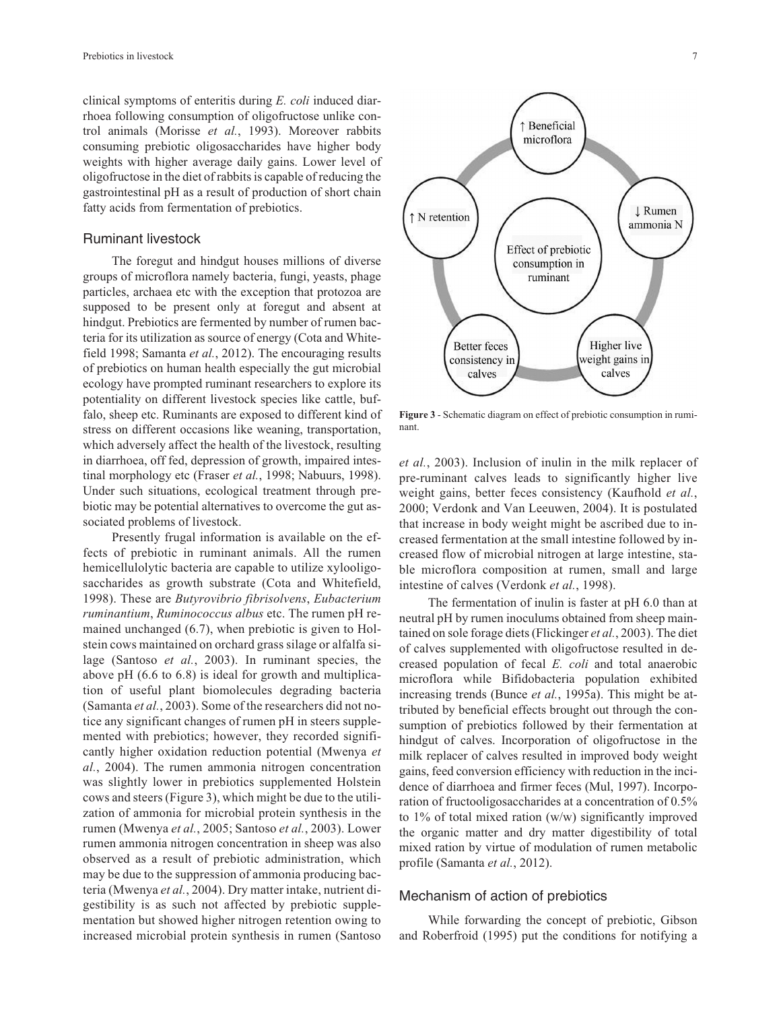clinical symptoms of enteritis during *E. coli* induced diarrhoea following consumption of oligofructose unlike control animals (Morisse *et al.*, 1993). Moreover rabbits consuming prebiotic oligosaccharides have higher body weights with higher average daily gains. Lower level of oligofructose in the diet of rabbits is capable of reducing the gastrointestinal pH as a result of production of short chain fatty acids from fermentation of prebiotics.

## Ruminant livestock

The foregut and hindgut houses millions of diverse groups of microflora namely bacteria, fungi, yeasts, phage particles, archaea etc with the exception that protozoa are supposed to be present only at foregut and absent at hindgut. Prebiotics are fermented by number of rumen bacteria for its utilization as source of energy (Cota and Whitefield 1998; Samanta *et al.*, 2012). The encouraging results of prebiotics on human health especially the gut microbial ecology have prompted ruminant researchers to explore its potentiality on different livestock species like cattle, buffalo, sheep etc. Ruminants are exposed to different kind of stress on different occasions like weaning, transportation, which adversely affect the health of the livestock, resulting in diarrhoea, off fed, depression of growth, impaired intestinal morphology etc (Fraser *et al.*, 1998; Nabuurs, 1998). Under such situations, ecological treatment through prebiotic may be potential alternatives to overcome the gut associated problems of livestock.

Presently frugal information is available on the effects of prebiotic in ruminant animals. All the rumen hemicellulolytic bacteria are capable to utilize xylooligosaccharides as growth substrate (Cota and Whitefield, 1998). These are *Butyrovibrio fibrisolvens*, *Eubacterium ruminantium*, *Ruminococcus albus* etc. The rumen pH remained unchanged (6.7), when prebiotic is given to Holstein cows maintained on orchard grass silage or alfalfa silage (Santoso *et al.*, 2003). In ruminant species, the above pH (6.6 to 6.8) is ideal for growth and multiplication of useful plant biomolecules degrading bacteria (Samanta *et al.*, 2003). Some of the researchers did not notice any significant changes of rumen pH in steers supplemented with prebiotics; however, they recorded significantly higher oxidation reduction potential (Mwenya *et al.*, 2004). The rumen ammonia nitrogen concentration was slightly lower in prebiotics supplemented Holstein cows and steers (Figure 3), which might be due to the utilization of ammonia for microbial protein synthesis in the rumen (Mwenya *et al.*, 2005; Santoso *et al.*, 2003). Lower rumen ammonia nitrogen concentration in sheep was also observed as a result of prebiotic administration, which may be due to the suppression of ammonia producing bacteria (Mwenya *et al.*, 2004). Dry matter intake, nutrient digestibility is as such not affected by prebiotic supplementation but showed higher nitrogen retention owing to increased microbial protein synthesis in rumen (Santoso



**Figure 3** - Schematic diagram on effect of prebiotic consumption in ruminant.

*et al.*, 2003). Inclusion of inulin in the milk replacer of pre-ruminant calves leads to significantly higher live weight gains, better feces consistency (Kaufhold *et al.*, 2000; Verdonk and Van Leeuwen, 2004). It is postulated that increase in body weight might be ascribed due to increased fermentation at the small intestine followed by increased flow of microbial nitrogen at large intestine, stable microflora composition at rumen, small and large intestine of calves (Verdonk *et al.*, 1998).

The fermentation of inulin is faster at pH 6.0 than at neutral pH by rumen inoculums obtained from sheep maintained on sole forage diets (Flickinger *et al.*, 2003). The diet of calves supplemented with oligofructose resulted in decreased population of fecal *E. coli* and total anaerobic microflora while Bifidobacteria population exhibited increasing trends (Bunce *et al.*, 1995a). This might be attributed by beneficial effects brought out through the consumption of prebiotics followed by their fermentation at hindgut of calves. Incorporation of oligofructose in the milk replacer of calves resulted in improved body weight gains, feed conversion efficiency with reduction in the incidence of diarrhoea and firmer feces (Mul, 1997). Incorporation of fructooligosaccharides at a concentration of 0.5% to 1% of total mixed ration (w/w) significantly improved the organic matter and dry matter digestibility of total mixed ration by virtue of modulation of rumen metabolic profile (Samanta *et al.*, 2012).

#### Mechanism of action of prebiotics

While forwarding the concept of prebiotic, Gibson and Roberfroid (1995) put the conditions for notifying a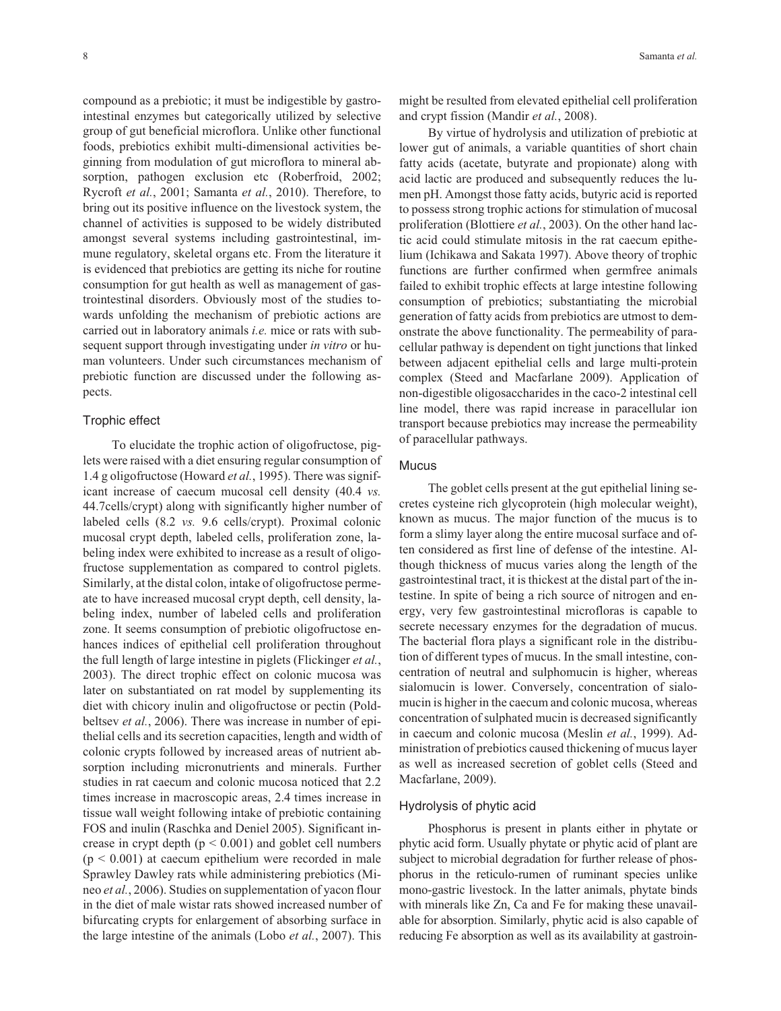compound as a prebiotic; it must be indigestible by gastrointestinal enzymes but categorically utilized by selective group of gut beneficial microflora. Unlike other functional foods, prebiotics exhibit multi-dimensional activities beginning from modulation of gut microflora to mineral absorption, pathogen exclusion etc (Roberfroid, 2002; Rycroft *et al.*, 2001; Samanta *et al.*, 2010). Therefore, to bring out its positive influence on the livestock system, the channel of activities is supposed to be widely distributed amongst several systems including gastrointestinal, immune regulatory, skeletal organs etc. From the literature it is evidenced that prebiotics are getting its niche for routine consumption for gut health as well as management of gastrointestinal disorders. Obviously most of the studies towards unfolding the mechanism of prebiotic actions are carried out in laboratory animals *i.e.* mice or rats with subsequent support through investigating under *in vitro* or human volunteers. Under such circumstances mechanism of prebiotic function are discussed under the following aspects.

#### Trophic effect

To elucidate the trophic action of oligofructose, piglets were raised with a diet ensuring regular consumption of 1.4 g oligofructose (Howard *et al.*, 1995). There was significant increase of caecum mucosal cell density (40.4 *vs.* 44.7cells/crypt) along with significantly higher number of labeled cells (8.2 *vs.* 9.6 cells/crypt). Proximal colonic mucosal crypt depth, labeled cells, proliferation zone, labeling index were exhibited to increase as a result of oligofructose supplementation as compared to control piglets. Similarly, at the distal colon, intake of oligofructose permeate to have increased mucosal crypt depth, cell density, labeling index, number of labeled cells and proliferation zone. It seems consumption of prebiotic oligofructose enhances indices of epithelial cell proliferation throughout the full length of large intestine in piglets (Flickinger *et al.*, 2003). The direct trophic effect on colonic mucosa was later on substantiated on rat model by supplementing its diet with chicory inulin and oligofructose or pectin (Poldbeltsev *et al.*, 2006). There was increase in number of epithelial cells and its secretion capacities, length and width of colonic crypts followed by increased areas of nutrient absorption including micronutrients and minerals. Further studies in rat caecum and colonic mucosa noticed that 2.2 times increase in macroscopic areas, 2.4 times increase in tissue wall weight following intake of prebiotic containing FOS and inulin (Raschka and Deniel 2005). Significant increase in crypt depth  $(p < 0.001)$  and goblet cell numbers  $(p < 0.001)$  at caecum epithelium were recorded in male Sprawley Dawley rats while administering prebiotics (Mineo *et al.*, 2006). Studies on supplementation of yacon flour in the diet of male wistar rats showed increased number of bifurcating crypts for enlargement of absorbing surface in the large intestine of the animals (Lobo *et al.*, 2007). This might be resulted from elevated epithelial cell proliferation and crypt fission (Mandir *et al.*, 2008).

By virtue of hydrolysis and utilization of prebiotic at lower gut of animals, a variable quantities of short chain fatty acids (acetate, butyrate and propionate) along with acid lactic are produced and subsequently reduces the lumen pH. Amongst those fatty acids, butyric acid is reported to possess strong trophic actions for stimulation of mucosal proliferation (Blottiere *et al.*, 2003). On the other hand lactic acid could stimulate mitosis in the rat caecum epithelium (Ichikawa and Sakata 1997). Above theory of trophic functions are further confirmed when germfree animals failed to exhibit trophic effects at large intestine following consumption of prebiotics; substantiating the microbial generation of fatty acids from prebiotics are utmost to demonstrate the above functionality. The permeability of paracellular pathway is dependent on tight junctions that linked between adjacent epithelial cells and large multi-protein complex (Steed and Macfarlane 2009). Application of non-digestible oligosaccharides in the caco-2 intestinal cell line model, there was rapid increase in paracellular ion transport because prebiotics may increase the permeability of paracellular pathways.

## **Mucus**

The goblet cells present at the gut epithelial lining secretes cysteine rich glycoprotein (high molecular weight), known as mucus. The major function of the mucus is to form a slimy layer along the entire mucosal surface and often considered as first line of defense of the intestine. Although thickness of mucus varies along the length of the gastrointestinal tract, it is thickest at the distal part of the intestine. In spite of being a rich source of nitrogen and energy, very few gastrointestinal microfloras is capable to secrete necessary enzymes for the degradation of mucus. The bacterial flora plays a significant role in the distribution of different types of mucus. In the small intestine, concentration of neutral and sulphomucin is higher, whereas sialomucin is lower. Conversely, concentration of sialomucin is higher in the caecum and colonic mucosa, whereas concentration of sulphated mucin is decreased significantly in caecum and colonic mucosa (Meslin *et al.*, 1999). Administration of prebiotics caused thickening of mucus layer as well as increased secretion of goblet cells (Steed and Macfarlane, 2009).

#### Hydrolysis of phytic acid

Phosphorus is present in plants either in phytate or phytic acid form. Usually phytate or phytic acid of plant are subject to microbial degradation for further release of phosphorus in the reticulo-rumen of ruminant species unlike mono-gastric livestock. In the latter animals, phytate binds with minerals like Zn, Ca and Fe for making these unavailable for absorption. Similarly, phytic acid is also capable of reducing Fe absorption as well as its availability at gastroin-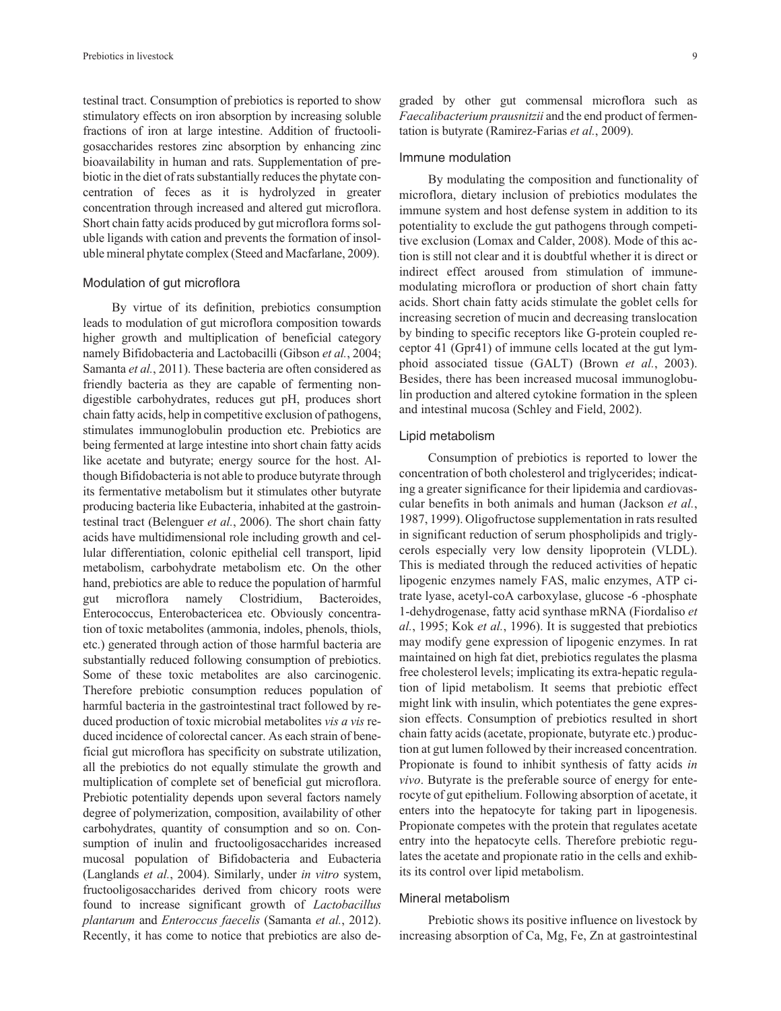testinal tract. Consumption of prebiotics is reported to show stimulatory effects on iron absorption by increasing soluble fractions of iron at large intestine. Addition of fructooligosaccharides restores zinc absorption by enhancing zinc bioavailability in human and rats. Supplementation of prebiotic in the diet of rats substantially reduces the phytate concentration of feces as it is hydrolyzed in greater concentration through increased and altered gut microflora. Short chain fatty acids produced by gut microflora forms soluble ligands with cation and prevents the formation of insoluble mineral phytate complex (Steed and Macfarlane, 2009).

#### Modulation of gut microflora

By virtue of its definition, prebiotics consumption leads to modulation of gut microflora composition towards higher growth and multiplication of beneficial category namely Bifidobacteria and Lactobacilli (Gibson *et al.*, 2004; Samanta *et al.*, 2011). These bacteria are often considered as friendly bacteria as they are capable of fermenting nondigestible carbohydrates, reduces gut pH, produces short chain fatty acids, help in competitive exclusion of pathogens, stimulates immunoglobulin production etc. Prebiotics are being fermented at large intestine into short chain fatty acids like acetate and butyrate; energy source for the host. Although Bifidobacteria is not able to produce butyrate through its fermentative metabolism but it stimulates other butyrate producing bacteria like Eubacteria, inhabited at the gastrointestinal tract (Belenguer *et al.*, 2006). The short chain fatty acids have multidimensional role including growth and cellular differentiation, colonic epithelial cell transport, lipid metabolism, carbohydrate metabolism etc. On the other hand, prebiotics are able to reduce the population of harmful gut microflora namely Clostridium, Bacteroides, Enterococcus, Enterobactericea etc. Obviously concentration of toxic metabolites (ammonia, indoles, phenols, thiols, etc.) generated through action of those harmful bacteria are substantially reduced following consumption of prebiotics. Some of these toxic metabolites are also carcinogenic. Therefore prebiotic consumption reduces population of harmful bacteria in the gastrointestinal tract followed by reduced production of toxic microbial metabolites *vis a vis* reduced incidence of colorectal cancer. As each strain of beneficial gut microflora has specificity on substrate utilization, all the prebiotics do not equally stimulate the growth and multiplication of complete set of beneficial gut microflora. Prebiotic potentiality depends upon several factors namely degree of polymerization, composition, availability of other carbohydrates, quantity of consumption and so on. Consumption of inulin and fructooligosaccharides increased mucosal population of Bifidobacteria and Eubacteria (Langlands *et al.*, 2004). Similarly, under *in vitro* system, fructooligosaccharides derived from chicory roots were found to increase significant growth of *Lactobacillus plantarum* and *Enteroccus faecelis* (Samanta *et al.*, 2012). Recently, it has come to notice that prebiotics are also de-

graded by other gut commensal microflora such as *Faecalibacterium prausnitzii* and the end product of fermentation is butyrate (Ramirez-Farias *et al.*, 2009).

#### Immune modulation

By modulating the composition and functionality of microflora, dietary inclusion of prebiotics modulates the immune system and host defense system in addition to its potentiality to exclude the gut pathogens through competitive exclusion (Lomax and Calder, 2008). Mode of this action is still not clear and it is doubtful whether it is direct or indirect effect aroused from stimulation of immunemodulating microflora or production of short chain fatty acids. Short chain fatty acids stimulate the goblet cells for increasing secretion of mucin and decreasing translocation by binding to specific receptors like G-protein coupled receptor 41 (Gpr41) of immune cells located at the gut lymphoid associated tissue (GALT) (Brown *et al.*, 2003). Besides, there has been increased mucosal immunoglobulin production and altered cytokine formation in the spleen and intestinal mucosa (Schley and Field, 2002).

#### Lipid metabolism

Consumption of prebiotics is reported to lower the concentration of both cholesterol and triglycerides; indicating a greater significance for their lipidemia and cardiovascular benefits in both animals and human (Jackson *et al.*, 1987, 1999). Oligofructose supplementation in rats resulted in significant reduction of serum phospholipids and triglycerols especially very low density lipoprotein (VLDL). This is mediated through the reduced activities of hepatic lipogenic enzymes namely FAS, malic enzymes, ATP citrate lyase, acetyl-coA carboxylase, glucose -6 -phosphate 1-dehydrogenase, fatty acid synthase mRNA (Fiordaliso *et al.*, 1995; Kok *et al.*, 1996). It is suggested that prebiotics may modify gene expression of lipogenic enzymes. In rat maintained on high fat diet, prebiotics regulates the plasma free cholesterol levels; implicating its extra-hepatic regulation of lipid metabolism. It seems that prebiotic effect might link with insulin, which potentiates the gene expression effects. Consumption of prebiotics resulted in short chain fatty acids (acetate, propionate, butyrate etc.) production at gut lumen followed by their increased concentration. Propionate is found to inhibit synthesis of fatty acids *in vivo*. Butyrate is the preferable source of energy for enterocyte of gut epithelium. Following absorption of acetate, it enters into the hepatocyte for taking part in lipogenesis. Propionate competes with the protein that regulates acetate entry into the hepatocyte cells. Therefore prebiotic regulates the acetate and propionate ratio in the cells and exhibits its control over lipid metabolism.

#### Mineral metabolism

Prebiotic shows its positive influence on livestock by increasing absorption of Ca, Mg, Fe, Zn at gastrointestinal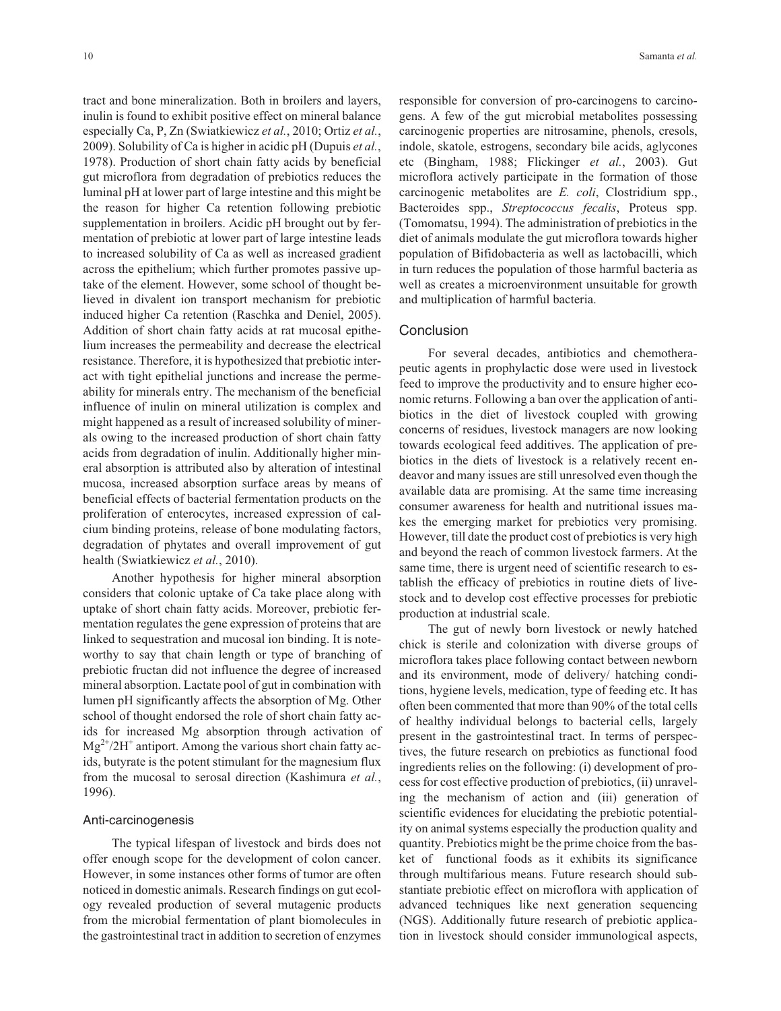tract and bone mineralization. Both in broilers and layers, inulin is found to exhibit positive effect on mineral balance especially Ca, P, Zn (Swiatkiewicz *et al.*, 2010; Ortiz *et al.*, 2009). Solubility of Ca is higher in acidic pH (Dupuis *et al.*, 1978). Production of short chain fatty acids by beneficial gut microflora from degradation of prebiotics reduces the luminal pH at lower part of large intestine and this might be the reason for higher Ca retention following prebiotic supplementation in broilers. Acidic pH brought out by fermentation of prebiotic at lower part of large intestine leads to increased solubility of Ca as well as increased gradient across the epithelium; which further promotes passive uptake of the element. However, some school of thought believed in divalent ion transport mechanism for prebiotic induced higher Ca retention (Raschka and Deniel, 2005). Addition of short chain fatty acids at rat mucosal epithelium increases the permeability and decrease the electrical resistance. Therefore, it is hypothesized that prebiotic interact with tight epithelial junctions and increase the permeability for minerals entry. The mechanism of the beneficial influence of inulin on mineral utilization is complex and might happened as a result of increased solubility of minerals owing to the increased production of short chain fatty acids from degradation of inulin. Additionally higher mineral absorption is attributed also by alteration of intestinal mucosa, increased absorption surface areas by means of beneficial effects of bacterial fermentation products on the proliferation of enterocytes, increased expression of calcium binding proteins, release of bone modulating factors, degradation of phytates and overall improvement of gut health (Swiatkiewicz *et al.*, 2010).

Another hypothesis for higher mineral absorption considers that colonic uptake of Ca take place along with uptake of short chain fatty acids. Moreover, prebiotic fermentation regulates the gene expression of proteins that are linked to sequestration and mucosal ion binding. It is noteworthy to say that chain length or type of branching of prebiotic fructan did not influence the degree of increased mineral absorption. Lactate pool of gut in combination with lumen pH significantly affects the absorption of Mg. Other school of thought endorsed the role of short chain fatty acids for increased Mg absorption through activation of  $Mg^{2+}/2H^+$  antiport. Among the various short chain fatty acids, butyrate is the potent stimulant for the magnesium flux from the mucosal to serosal direction (Kashimura *et al.*, 1996).

#### Anti-carcinogenesis

The typical lifespan of livestock and birds does not offer enough scope for the development of colon cancer. However, in some instances other forms of tumor are often noticed in domestic animals. Research findings on gut ecology revealed production of several mutagenic products from the microbial fermentation of plant biomolecules in the gastrointestinal tract in addition to secretion of enzymes

responsible for conversion of pro-carcinogens to carcinogens. A few of the gut microbial metabolites possessing carcinogenic properties are nitrosamine, phenols, cresols, indole, skatole, estrogens, secondary bile acids, aglycones etc (Bingham, 1988; Flickinger *et al.*, 2003). Gut microflora actively participate in the formation of those carcinogenic metabolites are *E. coli*, Clostridium spp., Bacteroides spp., *Streptococcus fecalis*, Proteus spp. (Tomomatsu, 1994). The administration of prebiotics in the diet of animals modulate the gut microflora towards higher population of Bifidobacteria as well as lactobacilli, which in turn reduces the population of those harmful bacteria as well as creates a microenvironment unsuitable for growth and multiplication of harmful bacteria.

# **Conclusion**

For several decades, antibiotics and chemotherapeutic agents in prophylactic dose were used in livestock feed to improve the productivity and to ensure higher economic returns. Following a ban over the application of antibiotics in the diet of livestock coupled with growing concerns of residues, livestock managers are now looking towards ecological feed additives. The application of prebiotics in the diets of livestock is a relatively recent endeavor and many issues are still unresolved even though the available data are promising. At the same time increasing consumer awareness for health and nutritional issues makes the emerging market for prebiotics very promising. However, till date the product cost of prebiotics is very high and beyond the reach of common livestock farmers. At the same time, there is urgent need of scientific research to establish the efficacy of prebiotics in routine diets of livestock and to develop cost effective processes for prebiotic production at industrial scale.

The gut of newly born livestock or newly hatched chick is sterile and colonization with diverse groups of microflora takes place following contact between newborn and its environment, mode of delivery/ hatching conditions, hygiene levels, medication, type of feeding etc. It has often been commented that more than 90% of the total cells of healthy individual belongs to bacterial cells, largely present in the gastrointestinal tract. In terms of perspectives, the future research on prebiotics as functional food ingredients relies on the following: (i) development of process for cost effective production of prebiotics, (ii) unraveling the mechanism of action and (iii) generation of scientific evidences for elucidating the prebiotic potentiality on animal systems especially the production quality and quantity. Prebiotics might be the prime choice from the basket of functional foods as it exhibits its significance through multifarious means. Future research should substantiate prebiotic effect on microflora with application of advanced techniques like next generation sequencing (NGS). Additionally future research of prebiotic application in livestock should consider immunological aspects,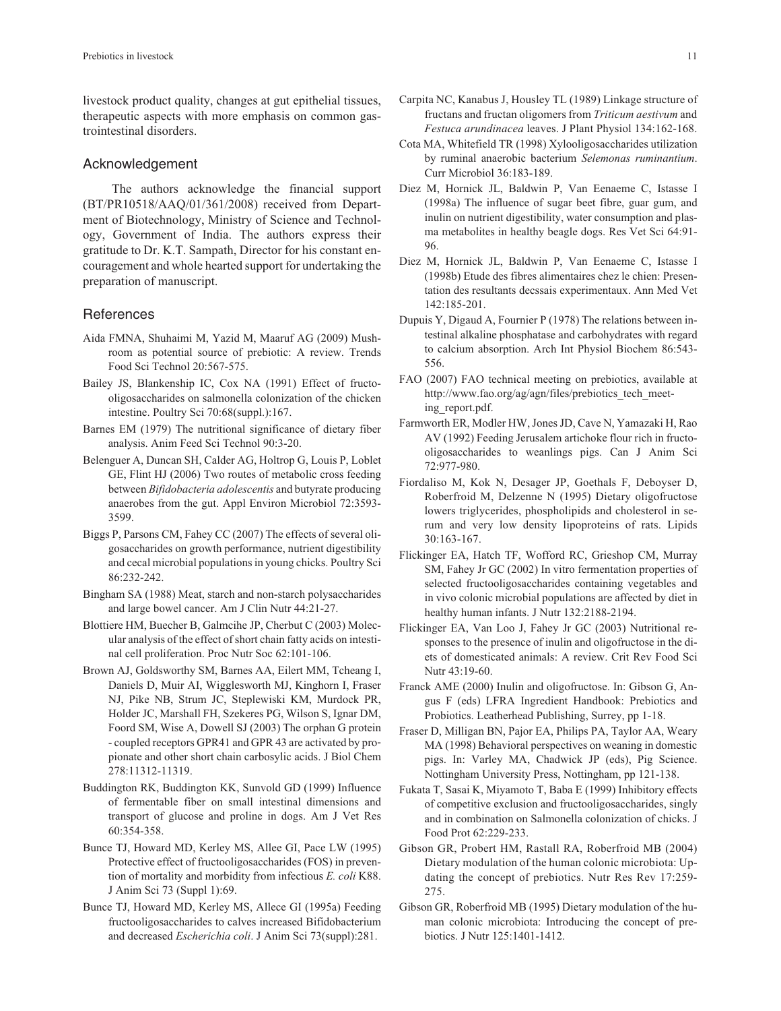livestock product quality, changes at gut epithelial tissues, therapeutic aspects with more emphasis on common gastrointestinal disorders.

#### Acknowledgement

The authors acknowledge the financial support (BT/PR10518/AAQ/01/361/2008) received from Department of Biotechnology, Ministry of Science and Technology, Government of India. The authors express their gratitude to Dr. K.T. Sampath, Director for his constant encouragement and whole hearted support for undertaking the preparation of manuscript.

## **References**

- Aida FMNA, Shuhaimi M, Yazid M, Maaruf AG (2009) Mushroom as potential source of prebiotic: A review. Trends Food Sci Technol 20:567-575.
- Bailey JS, Blankenship IC, Cox NA (1991) Effect of fructooligosaccharides on salmonella colonization of the chicken intestine. Poultry Sci 70:68(suppl.):167.
- Barnes EM (1979) The nutritional significance of dietary fiber analysis. Anim Feed Sci Technol 90:3-20.
- Belenguer A, Duncan SH, Calder AG, Holtrop G, Louis P, Loblet GE, Flint HJ (2006) Two routes of metabolic cross feeding between *Bifidobacteria adolescentis* and butyrate producing anaerobes from the gut. Appl Environ Microbiol 72:3593- 3599.
- Biggs P, Parsons CM, Fahey CC (2007) The effects of several oligosaccharides on growth performance, nutrient digestibility and cecal microbial populations in young chicks. Poultry Sci 86:232-242.
- Bingham SA (1988) Meat, starch and non-starch polysaccharides and large bowel cancer. Am J Clin Nutr 44:21-27.
- Blottiere HM, Buecher B, Galmcihe JP, Cherbut C (2003) Molecular analysis of the effect of short chain fatty acids on intestinal cell proliferation. Proc Nutr Soc 62:101-106.
- Brown AJ, Goldsworthy SM, Barnes AA, Eilert MM, Tcheang I, Daniels D, Muir AI, Wigglesworth MJ, Kinghorn I, Fraser NJ, Pike NB, Strum JC, Steplewiski KM, Murdock PR, Holder JC, Marshall FH, Szekeres PG, Wilson S, Ignar DM, Foord SM, Wise A, Dowell SJ (2003) The orphan G protein - coupled receptors GPR41 and GPR 43 are activated by propionate and other short chain carbosylic acids. J Biol Chem 278:11312-11319.
- Buddington RK, Buddington KK, Sunvold GD (1999) Influence of fermentable fiber on small intestinal dimensions and transport of glucose and proline in dogs. Am J Vet Res 60:354-358.
- Bunce TJ, Howard MD, Kerley MS, Allee GI, Pace LW (1995) Protective effect of fructooligosaccharides (FOS) in prevention of mortality and morbidity from infectious *E. coli* K88. J Anim Sci 73 (Suppl 1):69.
- Bunce TJ, Howard MD, Kerley MS, Allece GI (1995a) Feeding fructooligosaccharides to calves increased Bifidobacterium and decreased *Escherichia coli*. J Anim Sci 73(suppl):281.
- Carpita NC, Kanabus J, Housley TL (1989) Linkage structure of fructans and fructan oligomers from *Triticum aestivum* and *Festuca arundinacea* leaves. J Plant Physiol 134:162-168.
- Cota MA, Whitefield TR (1998) Xylooligosaccharides utilization by ruminal anaerobic bacterium *Selemonas ruminantium*. Curr Microbiol 36:183-189.
- Diez M, Hornick JL, Baldwin P, Van Eenaeme C, Istasse I (1998a) The influence of sugar beet fibre, guar gum, and inulin on nutrient digestibility, water consumption and plasma metabolites in healthy beagle dogs. Res Vet Sci 64:91- 96.
- Diez M, Hornick JL, Baldwin P, Van Eenaeme C, Istasse I (1998b) Etude des fibres alimentaires chez le chien: Presentation des resultants decssais experimentaux. Ann Med Vet 142:185-201.
- Dupuis Y, Digaud A, Fournier P (1978) The relations between intestinal alkaline phosphatase and carbohydrates with regard to calcium absorption. Arch Int Physiol Biochem 86:543- 556.
- FAO (2007) FAO technical meeting on prebiotics, available at http://www.fao.org/ag/agn/files/prebiotics\_tech\_meeting\_report.pdf.
- Farmworth ER, Modler HW, Jones JD, Cave N, Yamazaki H, Rao AV (1992) Feeding Jerusalem artichoke flour rich in fructooligosaccharides to weanlings pigs. Can J Anim Sci 72:977-980.
- Fiordaliso M, Kok N, Desager JP, Goethals F, Deboyser D, Roberfroid M, Delzenne N (1995) Dietary oligofructose lowers triglycerides, phospholipids and cholesterol in serum and very low density lipoproteins of rats. Lipids 30:163-167.
- Flickinger EA, Hatch TF, Wofford RC, Grieshop CM, Murray SM, Fahey Jr GC (2002) In vitro fermentation properties of selected fructooligosaccharides containing vegetables and in vivo colonic microbial populations are affected by diet in healthy human infants. J Nutr 132:2188-2194.
- Flickinger EA, Van Loo J, Fahey Jr GC (2003) Nutritional responses to the presence of inulin and oligofructose in the diets of domesticated animals: A review. Crit Rev Food Sci Nutr 43:19-60.
- Franck AME (2000) Inulin and oligofructose. In: Gibson G, Angus F (eds) LFRA Ingredient Handbook: Prebiotics and Probiotics. Leatherhead Publishing, Surrey, pp 1-18.
- Fraser D, Milligan BN, Pajor EA, Philips PA, Taylor AA, Weary MA (1998) Behavioral perspectives on weaning in domestic pigs. In: Varley MA, Chadwick JP (eds), Pig Science. Nottingham University Press, Nottingham, pp 121-138.
- Fukata T, Sasai K, Miyamoto T, Baba E (1999) Inhibitory effects of competitive exclusion and fructooligosaccharides, singly and in combination on Salmonella colonization of chicks. J Food Prot 62:229-233.
- Gibson GR, Probert HM, Rastall RA, Roberfroid MB (2004) Dietary modulation of the human colonic microbiota: Updating the concept of prebiotics. Nutr Res Rev 17:259- 275.
- Gibson GR, Roberfroid MB (1995) Dietary modulation of the human colonic microbiota: Introducing the concept of prebiotics. J Nutr 125:1401-1412.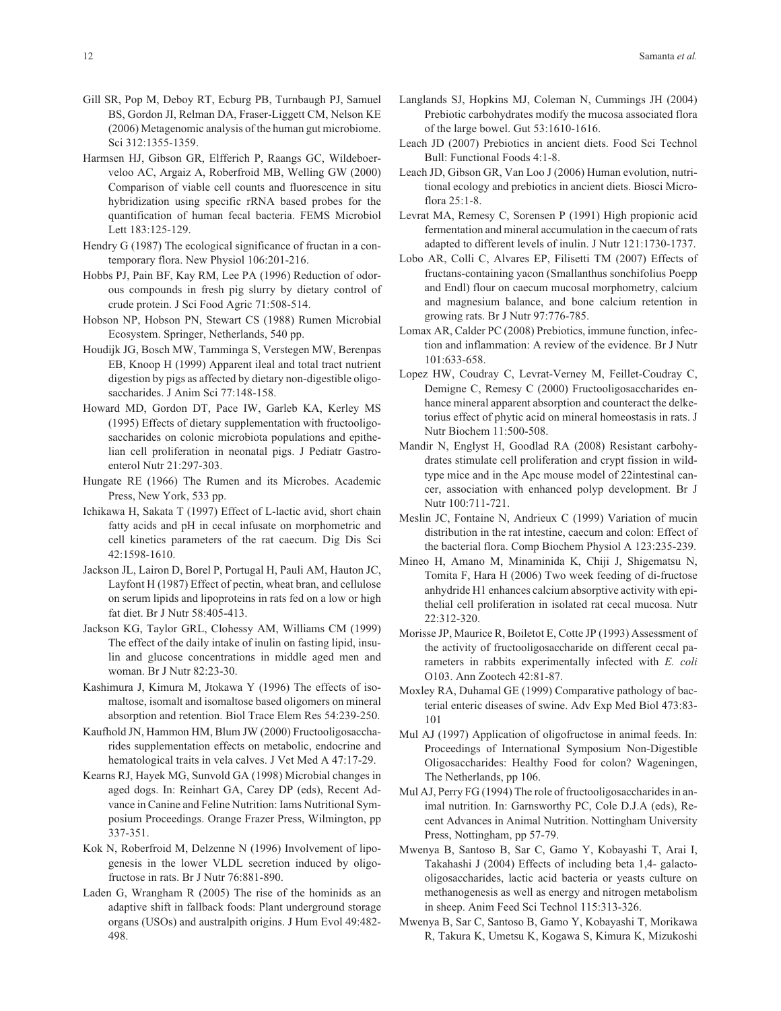- Gill SR, Pop M, Deboy RT, Ecburg PB, Turnbaugh PJ, Samuel BS, Gordon JI, Relman DA, Fraser-Liggett CM, Nelson KE (2006) Metagenomic analysis of the human gut microbiome. Sci 312:1355-1359.
- Harmsen HJ, Gibson GR, Elfferich P, Raangs GC, Wildeboerveloo AC, Argaiz A, Roberfroid MB, Welling GW (2000) Comparison of viable cell counts and fluorescence in situ hybridization using specific rRNA based probes for the quantification of human fecal bacteria. FEMS Microbiol Lett 183:125-129.
- Hendry G (1987) The ecological significance of fructan in a contemporary flora. New Physiol 106:201-216.
- Hobbs PJ, Pain BF, Kay RM, Lee PA (1996) Reduction of odorous compounds in fresh pig slurry by dietary control of crude protein. J Sci Food Agric 71:508-514.
- Hobson NP, Hobson PN, Stewart CS (1988) Rumen Microbial Ecosystem. Springer, Netherlands, 540 pp.
- Houdijk JG, Bosch MW, Tamminga S, Verstegen MW, Berenpas EB, Knoop H (1999) Apparent ileal and total tract nutrient digestion by pigs as affected by dietary non-digestible oligosaccharides. J Anim Sci 77:148-158.
- Howard MD, Gordon DT, Pace IW, Garleb KA, Kerley MS (1995) Effects of dietary supplementation with fructooligosaccharides on colonic microbiota populations and epithelian cell proliferation in neonatal pigs. J Pediatr Gastroenterol Nutr 21:297-303.
- Hungate RE (1966) The Rumen and its Microbes. Academic Press, New York, 533 pp.
- Ichikawa H, Sakata T (1997) Effect of L-lactic avid, short chain fatty acids and pH in cecal infusate on morphometric and cell kinetics parameters of the rat caecum. Dig Dis Sci 42:1598-1610.
- Jackson JL, Lairon D, Borel P, Portugal H, Pauli AM, Hauton JC, Layfont H (1987) Effect of pectin, wheat bran, and cellulose on serum lipids and lipoproteins in rats fed on a low or high fat diet. Br J Nutr 58:405-413.
- Jackson KG, Taylor GRL, Clohessy AM, Williams CM (1999) The effect of the daily intake of inulin on fasting lipid, insulin and glucose concentrations in middle aged men and woman. Br J Nutr 82:23-30.
- Kashimura J, Kimura M, Jtokawa Y (1996) The effects of isomaltose, isomalt and isomaltose based oligomers on mineral absorption and retention. Biol Trace Elem Res 54:239-250.
- Kaufhold JN, Hammon HM, Blum JW (2000) Fructooligosaccharides supplementation effects on metabolic, endocrine and hematological traits in vela calves. J Vet Med A 47:17-29.
- Kearns RJ, Hayek MG, Sunvold GA (1998) Microbial changes in aged dogs. In: Reinhart GA, Carey DP (eds), Recent Advance in Canine and Feline Nutrition: Iams Nutritional Symposium Proceedings. Orange Frazer Press, Wilmington, pp 337-351.
- Kok N, Roberfroid M, Delzenne N (1996) Involvement of lipogenesis in the lower VLDL secretion induced by oligofructose in rats. Br J Nutr 76:881-890.
- Laden G, Wrangham R (2005) The rise of the hominids as an adaptive shift in fallback foods: Plant underground storage organs (USOs) and australpith origins. J Hum Evol 49:482- 498.
- Langlands SJ, Hopkins MJ, Coleman N, Cummings JH (2004) Prebiotic carbohydrates modify the mucosa associated flora of the large bowel. Gut 53:1610-1616.
- Leach JD (2007) Prebiotics in ancient diets. Food Sci Technol Bull: Functional Foods 4:1-8.
- Leach JD, Gibson GR, Van Loo J (2006) Human evolution, nutritional ecology and prebiotics in ancient diets. Biosci Microflora 25:1-8.
- Levrat MA, Remesy C, Sorensen P (1991) High propionic acid fermentation and mineral accumulation in the caecum of rats adapted to different levels of inulin. J Nutr 121:1730-1737.
- Lobo AR, Colli C, Alvares EP, Filisetti TM (2007) Effects of fructans-containing yacon (Smallanthus sonchifolius Poepp and Endl) flour on caecum mucosal morphometry, calcium and magnesium balance, and bone calcium retention in growing rats. Br J Nutr 97:776-785.
- Lomax AR, Calder PC (2008) Prebiotics, immune function, infection and inflammation: A review of the evidence. Br J Nutr 101:633-658.
- Lopez HW, Coudray C, Levrat-Verney M, Feillet-Coudray C, Demigne C, Remesy C (2000) Fructooligosaccharides enhance mineral apparent absorption and counteract the delketorius effect of phytic acid on mineral homeostasis in rats. J Nutr Biochem 11:500-508.
- Mandir N, Englyst H, Goodlad RA (2008) Resistant carbohydrates stimulate cell proliferation and crypt fission in wildtype mice and in the Apc mouse model of 22intestinal cancer, association with enhanced polyp development. Br J Nutr 100:711-721.
- Meslin JC, Fontaine N, Andrieux C (1999) Variation of mucin distribution in the rat intestine, caecum and colon: Effect of the bacterial flora. Comp Biochem Physiol A 123:235-239.
- Mineo H, Amano M, Minaminida K, Chiji J, Shigematsu N, Tomita F, Hara H (2006) Two week feeding of di-fructose anhydride H1 enhances calcium absorptive activity with epithelial cell proliferation in isolated rat cecal mucosa. Nutr 22:312-320.
- Morisse JP, Maurice R, Boiletot E, Cotte JP (1993) Assessment of the activity of fructooligosaccharide on different cecal parameters in rabbits experimentally infected with *E. coli* O103. Ann Zootech 42:81-87.
- Moxley RA, Duhamal GE (1999) Comparative pathology of bacterial enteric diseases of swine. Adv Exp Med Biol 473:83- 101
- Mul AJ (1997) Application of oligofructose in animal feeds. In: Proceedings of International Symposium Non-Digestible Oligosaccharides: Healthy Food for colon? Wageningen, The Netherlands, pp 106.
- Mul AJ, Perry FG (1994) The role of fructooligosaccharides in animal nutrition. In: Garnsworthy PC, Cole D.J.A (eds), Recent Advances in Animal Nutrition. Nottingham University Press, Nottingham, pp 57-79.
- Mwenya B, Santoso B, Sar C, Gamo Y, Kobayashi T, Arai I, Takahashi J (2004) Effects of including beta 1,4- galactooligosaccharides, lactic acid bacteria or yeasts culture on methanogenesis as well as energy and nitrogen metabolism in sheep. Anim Feed Sci Technol 115:313-326.
- Mwenya B, Sar C, Santoso B, Gamo Y, Kobayashi T, Morikawa R, Takura K, Umetsu K, Kogawa S, Kimura K, Mizukoshi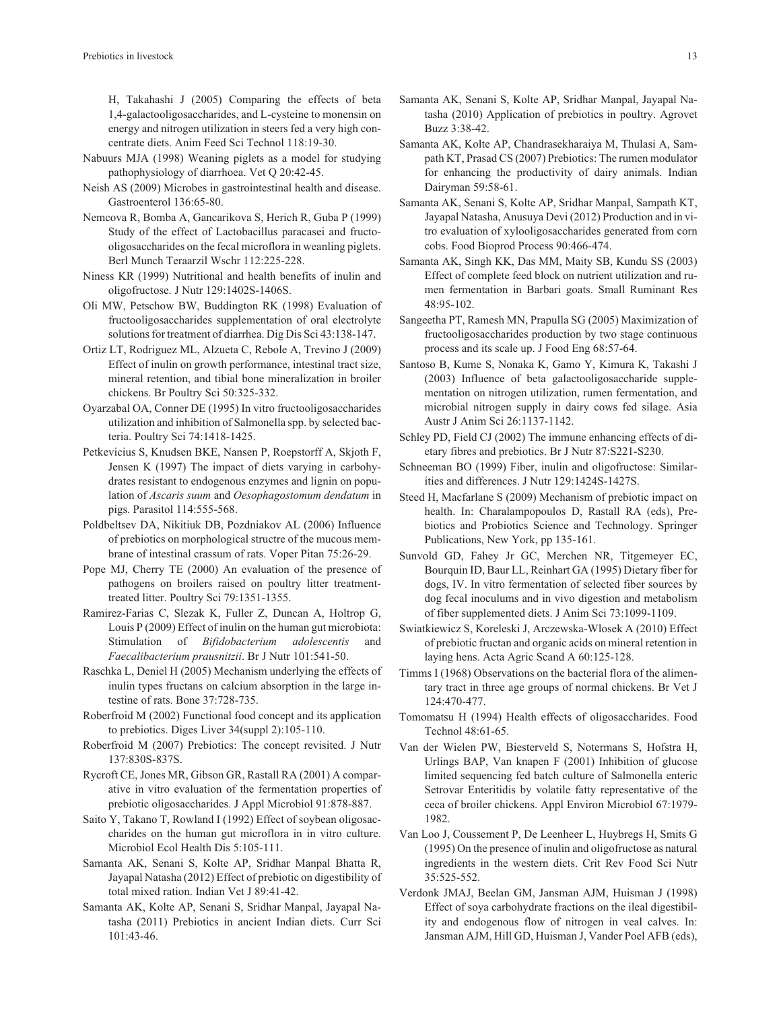H, Takahashi J (2005) Comparing the effects of beta 1,4-galactooligosaccharides, and L-cysteine to monensin on energy and nitrogen utilization in steers fed a very high concentrate diets. Anim Feed Sci Technol 118:19-30.

- Nabuurs MJA (1998) Weaning piglets as a model for studying pathophysiology of diarrhoea. Vet Q 20:42-45.
- Neish AS (2009) Microbes in gastrointestinal health and disease. Gastroenterol 136:65-80.
- Nemcova R, Bomba A, Gancarikova S, Herich R, Guba P (1999) Study of the effect of Lactobacillus paracasei and fructooligosaccharides on the fecal microflora in weanling piglets. Berl Munch Teraarzil Wschr 112:225-228.
- Niness KR (1999) Nutritional and health benefits of inulin and oligofructose. J Nutr 129:1402S-1406S.
- Oli MW, Petschow BW, Buddington RK (1998) Evaluation of fructooligosaccharides supplementation of oral electrolyte solutions for treatment of diarrhea. Dig Dis Sci 43:138-147.
- Ortiz LT, Rodriguez ML, Alzueta C, Rebole A, Trevino J (2009) Effect of inulin on growth performance, intestinal tract size, mineral retention, and tibial bone mineralization in broiler chickens. Br Poultry Sci 50:325-332.
- Oyarzabal OA, Conner DE (1995) In vitro fructooligosaccharides utilization and inhibition of Salmonella spp. by selected bacteria. Poultry Sci 74:1418-1425.
- Petkevicius S, Knudsen BKE, Nansen P, Roepstorff A, Skjoth F, Jensen K (1997) The impact of diets varying in carbohydrates resistant to endogenous enzymes and lignin on population of *Ascaris suum* and *Oesophagostomum dendatum* in pigs. Parasitol 114:555-568.
- Poldbeltsev DA, Nikitiuk DB, Pozdniakov AL (2006) Influence of prebiotics on morphological structre of the mucous membrane of intestinal crassum of rats. Voper Pitan 75:26-29.
- Pope MJ, Cherry TE (2000) An evaluation of the presence of pathogens on broilers raised on poultry litter treatmenttreated litter. Poultry Sci 79:1351-1355.
- Ramirez-Farias C, Slezak K, Fuller Z, Duncan A, Holtrop G, Louis P (2009) Effect of inulin on the human gut microbiota: Stimulation of *Bifidobacterium adolescentis* and *Faecalibacterium prausnitzii*. Br J Nutr 101:541-50.
- Raschka L, Deniel H (2005) Mechanism underlying the effects of inulin types fructans on calcium absorption in the large intestine of rats. Bone 37:728-735.
- Roberfroid M (2002) Functional food concept and its application to prebiotics. Diges Liver 34(suppl 2):105-110.
- Roberfroid M (2007) Prebiotics: The concept revisited. J Nutr 137:830S-837S.
- Rycroft CE, Jones MR, Gibson GR, Rastall RA (2001) A comparative in vitro evaluation of the fermentation properties of prebiotic oligosaccharides. J Appl Microbiol 91:878-887.
- Saito Y, Takano T, Rowland I (1992) Effect of soybean oligosaccharides on the human gut microflora in in vitro culture. Microbiol Ecol Health Dis 5:105-111.
- Samanta AK, Senani S, Kolte AP, Sridhar Manpal Bhatta R, Jayapal Natasha (2012) Effect of prebiotic on digestibility of total mixed ration. Indian Vet J 89:41-42.
- Samanta AK, Kolte AP, Senani S, Sridhar Manpal, Jayapal Natasha (2011) Prebiotics in ancient Indian diets. Curr Sci 101:43-46.
- Samanta AK, Senani S, Kolte AP, Sridhar Manpal, Jayapal Natasha (2010) Application of prebiotics in poultry. Agrovet Buzz 3:38-42.
- Samanta AK, Kolte AP, Chandrasekharaiya M, Thulasi A, Sampath KT, Prasad CS (2007) Prebiotics: The rumen modulator for enhancing the productivity of dairy animals. Indian Dairyman 59:58-61.
- Samanta AK, Senani S, Kolte AP, Sridhar Manpal, Sampath KT, Jayapal Natasha, Anusuya Devi (2012) Production and in vitro evaluation of xylooligosaccharides generated from corn cobs. Food Bioprod Process 90:466-474.
- Samanta AK, Singh KK, Das MM, Maity SB, Kundu SS (2003) Effect of complete feed block on nutrient utilization and rumen fermentation in Barbari goats. Small Ruminant Res 48:95-102.
- Sangeetha PT, Ramesh MN, Prapulla SG (2005) Maximization of fructooligosaccharides production by two stage continuous process and its scale up. J Food Eng 68:57-64.
- Santoso B, Kume S, Nonaka K, Gamo Y, Kimura K, Takashi J (2003) Influence of beta galactooligosaccharide supplementation on nitrogen utilization, rumen fermentation, and microbial nitrogen supply in dairy cows fed silage. Asia Austr J Anim Sci 26:1137-1142.
- Schley PD, Field CJ (2002) The immune enhancing effects of dietary fibres and prebiotics. Br J Nutr 87:S221-S230.
- Schneeman BO (1999) Fiber, inulin and oligofructose: Similarities and differences. J Nutr 129:1424S-1427S.
- Steed H, Macfarlane S (2009) Mechanism of prebiotic impact on health. In: Charalampopoulos D, Rastall RA (eds), Prebiotics and Probiotics Science and Technology. Springer Publications, New York, pp 135-161.
- Sunvold GD, Fahey Jr GC, Merchen NR, Titgemeyer EC, Bourquin ID, Baur LL, Reinhart GA (1995) Dietary fiber for dogs, IV. In vitro fermentation of selected fiber sources by dog fecal inoculums and in vivo digestion and metabolism of fiber supplemented diets. J Anim Sci 73:1099-1109.
- Swiatkiewicz S, Koreleski J, Arczewska-Wlosek A (2010) Effect of prebiotic fructan and organic acids on mineral retention in laying hens. Acta Agric Scand A 60:125-128.
- Timms I (1968) Observations on the bacterial flora of the alimentary tract in three age groups of normal chickens. Br Vet J 124:470-477.
- Tomomatsu H (1994) Health effects of oligosaccharides. Food Technol 48:61-65.
- Van der Wielen PW, Biesterveld S, Notermans S, Hofstra H, Urlings BAP, Van knapen F (2001) Inhibition of glucose limited sequencing fed batch culture of Salmonella enteric Setrovar Enteritidis by volatile fatty representative of the ceca of broiler chickens. Appl Environ Microbiol 67:1979- 1982.
- Van Loo J, Coussement P, De Leenheer L, Huybregs H, Smits G (1995) On the presence of inulin and oligofructose as natural ingredients in the western diets. Crit Rev Food Sci Nutr 35:525-552.
- Verdonk JMAJ, Beelan GM, Jansman AJM, Huisman J (1998) Effect of soya carbohydrate fractions on the ileal digestibility and endogenous flow of nitrogen in veal calves. In: Jansman AJM, Hill GD, Huisman J, Vander Poel AFB (eds),